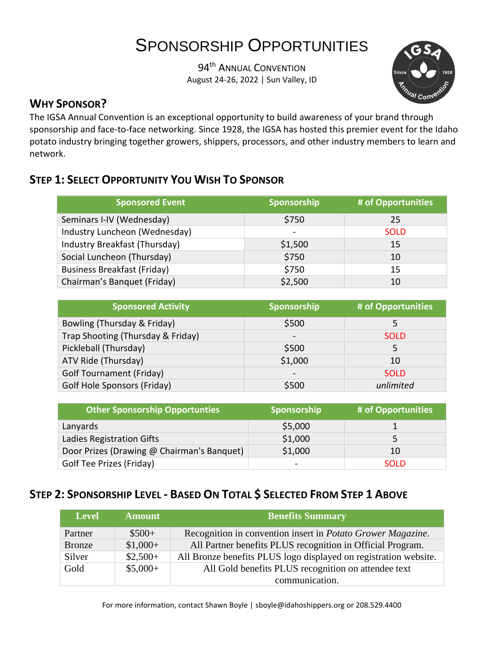# SPONSORSHIP OPPORTUNITIES

94<sup>th</sup> Annual Convention August 24-26, 2022 | Sun Valley, ID



### **WHY SPONSOR?**

The IGSA Annual Convention is an exceptional opportunity to build awareness of your brand through sponsorship and face-to-face networking. Since 1928, the IGSA has hosted this premier event for the Idaho potato industry bringing together growers, shippers, processors, and other industry members to learn and network.

## **STEP 1: SELECT OPPORTUNITY YOU WISH TO SPONSOR**

| <b>Sponsored Event</b>             | Sponsorship              | # of Opportunities |
|------------------------------------|--------------------------|--------------------|
| Seminars I-IV (Wednesday)          | \$750                    | 25                 |
| Industry Luncheon (Wednesday)      | $\overline{\phantom{a}}$ | <b>SOLD</b>        |
| Industry Breakfast (Thursday)      | \$1,500                  | 15                 |
| Social Luncheon (Thursday)         | \$750                    | 10                 |
| <b>Business Breakfast (Friday)</b> | \$750                    | 15                 |
| Chairman's Banquet (Friday)        | \$2,500                  | 10                 |

| <b>Sponsored Activity</b>         | Sponsorship              | # of Opportunities |
|-----------------------------------|--------------------------|--------------------|
| Bowling (Thursday & Friday)       | \$500                    |                    |
| Trap Shooting (Thursday & Friday) | $\overline{\phantom{a}}$ | <b>SOLD</b>        |
| Pickleball (Thursday)             | \$500                    | 5                  |
| ATV Ride (Thursday)               | \$1,000                  | 10                 |
| <b>Golf Tournament (Friday)</b>   | $\overline{\phantom{0}}$ | <b>SOLD</b>        |
| Golf Hole Sponsors (Friday)       | \$500                    | unlimited          |

| <b>Other Sponsorship Opportunties</b>      | Sponsorship | # of Opportunities |
|--------------------------------------------|-------------|--------------------|
| Lanyards                                   | \$5,000     |                    |
| Ladies Registration Gifts                  | \$1,000     |                    |
| Door Prizes (Drawing @ Chairman's Banquet) | \$1,000     | 10                 |
| Golf Tee Prizes (Friday)                   |             | <b>SOLD</b>        |

## STEP 2: SPONSORSHIP LEVEL - BASED ON TOTAL \$ SELECTED FROM STEP 1 ABOVE

| Level         | <b>Amount</b> | <b>Benefits Summary</b>                                          |
|---------------|---------------|------------------------------------------------------------------|
| Partner       | $$500+$       | Recognition in convention insert in Potato Grower Magazine.      |
| <b>Bronze</b> | $$1,000+$     | All Partner benefits PLUS recognition in Official Program.       |
| Silver        | $$2,500+$     | All Bronze benefits PLUS logo displayed on registration website. |
| Gold          | $$5,000+$     | All Gold benefits PLUS recognition on attendee text              |
|               |               | communication.                                                   |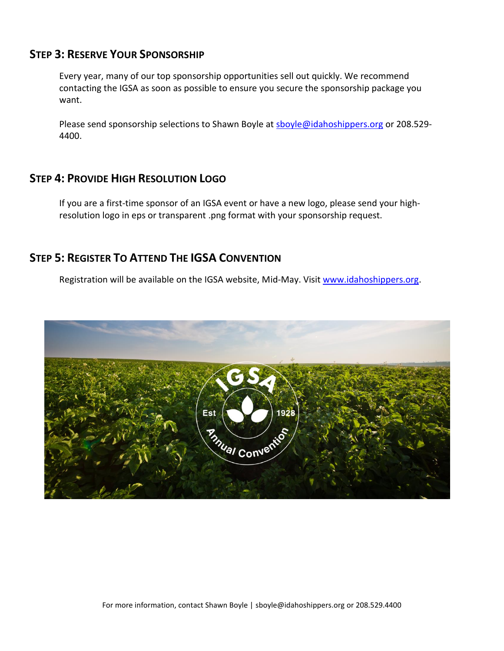### **STEP 3: RESERVE YOUR SPONSORSHIP**

Every year, many of our top sponsorship opportunities sell out quickly. We recommend contacting the IGSA as soon as possible to ensure you secure the sponsorship package you want.

Please send sponsorship selections to Shawn Boyle at [sboyle@idahoshippers.org](mailto:sboyle@idahoshippers.org) or 208.529-4400.

### **STEP 4: PROVIDE HIGH RESOLUTION LOGO**

If you are a first-time sponsor of an IGSA event or have a new logo, please send your highresolution logo in eps or transparent .png format with your sponsorship request.

### **STEP 5: REGISTER TO ATTEND THE IGSA CONVENTION**

Registration will be available on the IGSA website, Mid-May. Visit [www.idahoshippers.org.](http://www.idahoshippers.org/)

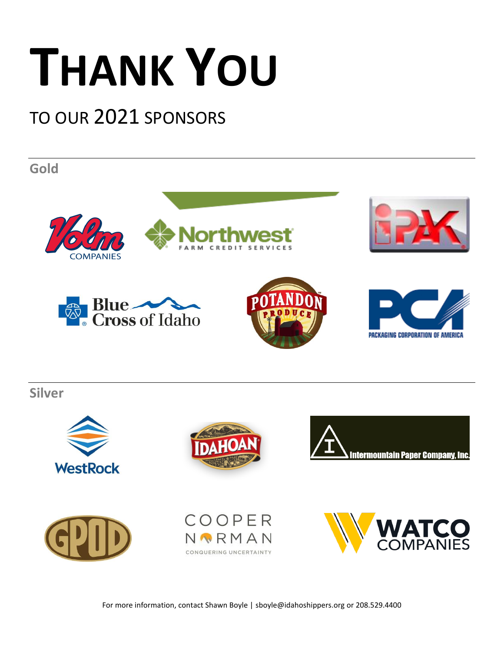# **THANK YOU**

# TO OUR 2021 SPONSORS

# **Gold**



# **Silver**



For more information, contact Shawn Boyle | sboyle@idahoshippers.org or 208.529.4400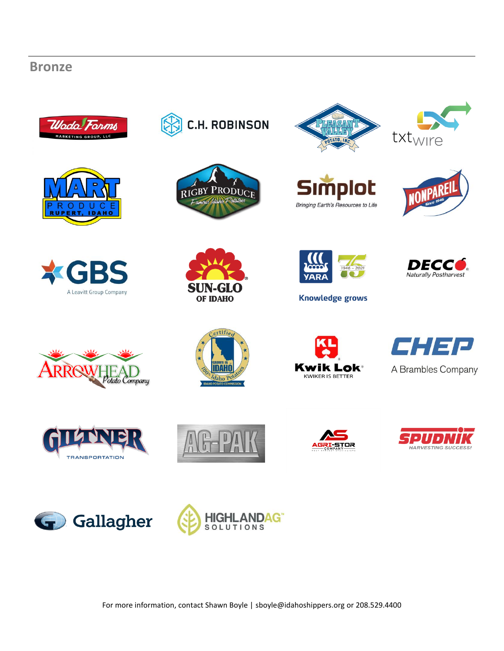### **Bronze**

















UN-GLO

 $_{\rm{eff}i\bar{\rm{f}}}$ 

DAI

daho Po

**OF IDAHO** 









Knowledge grows





DECC

Naturally Postharvest